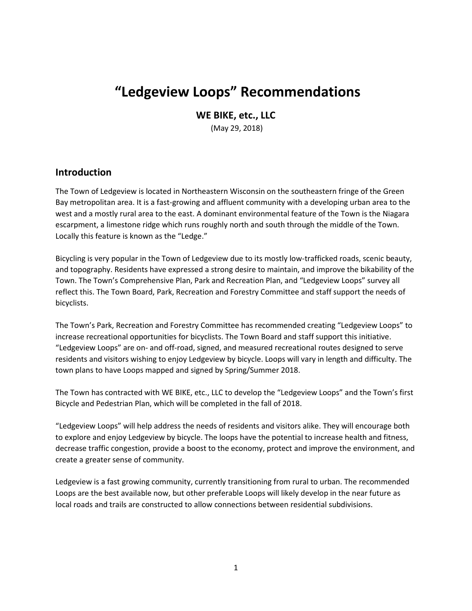# **"Ledgeview Loops" Recommendations**

**WE BIKE, etc., LLC**

(May 29, 2018)

# **Introduction**

The Town of Ledgeview is located in Northeastern Wisconsin on the southeastern fringe of the Green Bay metropolitan area. It is a fast-growing and affluent community with a developing urban area to the west and a mostly rural area to the east. A dominant environmental feature of the Town is the Niagara escarpment, a limestone ridge which runs roughly north and south through the middle of the Town. Locally this feature is known as the "Ledge."

Bicycling is very popular in the Town of Ledgeview due to its mostly low-trafficked roads, scenic beauty, and topography. Residents have expressed a strong desire to maintain, and improve the bikability of the Town. The Town's Comprehensive Plan, Park and Recreation Plan, and "Ledgeview Loops" survey all reflect this. The Town Board, Park, Recreation and Forestry Committee and staff support the needs of bicyclists.

The Town's Park, Recreation and Forestry Committee has recommended creating "Ledgeview Loops" to increase recreational opportunities for bicyclists. The Town Board and staff support this initiative. "Ledgeview Loops" are on- and off-road, signed, and measured recreational routes designed to serve residents and visitors wishing to enjoy Ledgeview by bicycle. Loops will vary in length and difficulty. The town plans to have Loops mapped and signed by Spring/Summer 2018.

The Town has contracted with WE BIKE, etc., LLC to develop the "Ledgeview Loops" and the Town's first Bicycle and Pedestrian Plan, which will be completed in the fall of 2018.

"Ledgeview Loops" will help address the needs of residents and visitors alike. They will encourage both to explore and enjoy Ledgeview by bicycle. The loops have the potential to increase health and fitness, decrease traffic congestion, provide a boost to the economy, protect and improve the environment, and create a greater sense of community.

Ledgeview is a fast growing community, currently transitioning from rural to urban. The recommended Loops are the best available now, but other preferable Loops will likely develop in the near future as local roads and trails are constructed to allow connections between residential subdivisions.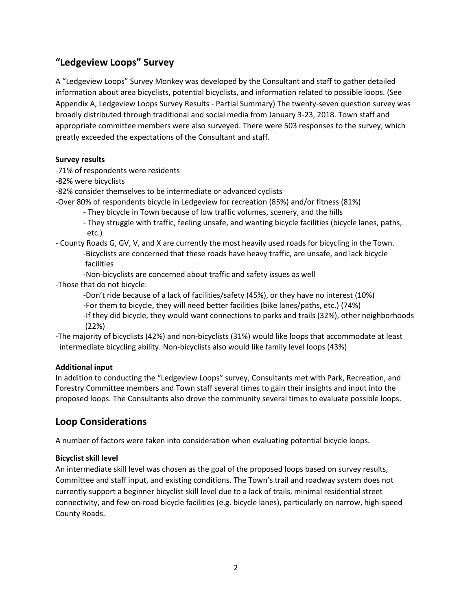# **"Ledgeview Loops" Survey**

A "Ledgeview Loops" Survey Monkey was developed by the Consultant and staff to gather detailed information about area bicyclists, potential bicyclists, and information related to possible loops. (See Appendix A, Ledgeview Loops Survey Results - Partial Summary) The twenty-seven question survey was broadly distributed through traditional and social media from January 3-23, 2018. Town staff and appropriate committee members were also surveyed. There were 503 responses to the survey, which greatly exceeded the expectations of the Consultant and staff.

## **Survey results**

-71% of respondents were residents

-82% were bicyclists

-82% consider themselves to be intermediate or advanced cyclists

-Over 80% of respondents bicycle in Ledgeview for recreation (85%) and/or fitness (81%)

- They bicycle in Town because of low traffic volumes, scenery, and the hills
- They struggle with traffic, feeling unsafe, and wanting bicycle facilities (bicycle lanes, paths, etc.)
- County Roads G, GV, V, and X are currently the most heavily used roads for bicycling in the Town. -Bicyclists are concerned that these roads have heavy traffic, are unsafe, and lack bicycle facilities

-Non-bicyclists are concerned about traffic and safety issues as well

-Those that do not bicycle:

-Don't ride because of a lack of facilities/safety (45%), or they have no interest (10%)

-For them to bicycle, they will need better facilities (bike lanes/paths, etc.) (74%)

-If they did bicycle, they would want connections to parks and trails (32%), other neighborhoods (22%)

-The majority of bicyclists (42%) and non-bicyclists (31%) would like loops that accommodate at least intermediate bicycling ability. Non-bicyclists also would like family level loops (43%)

## **Additional input**

In addition to conducting the "Ledgeview Loops" survey, Consultants met with Park, Recreation, and Forestry Committee members and Town staff several times to gain their insights and input into the proposed loops. The Consultants also drove the community several times to evaluate possible loops.

# **Loop Considerations**

A number of factors were taken into consideration when evaluating potential bicycle loops.

## **Bicyclist skill level**

An intermediate skill level was chosen as the goal of the proposed loops based on survey results, Committee and staff input, and existing conditions. The Town's trail and roadway system does not currently support a beginner bicyclist skill level due to a lack of trails, minimal residential street connectivity, and few on-road bicycle facilities (e.g. bicycle lanes), particularly on narrow, high-speed County Roads.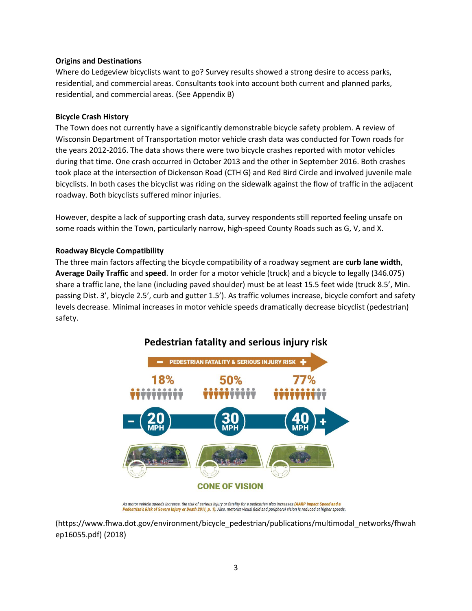#### **Origins and Destinations**

Where do Ledgeview bicyclists want to go? Survey results showed a strong desire to access parks, residential, and commercial areas. Consultants took into account both current and planned parks, residential, and commercial areas. (See Appendix B)

#### **Bicycle Crash History**

The Town does not currently have a significantly demonstrable bicycle safety problem. A review of Wisconsin Department of Transportation motor vehicle crash data was conducted for Town roads for the years 2012-2016. The data shows there were two bicycle crashes reported with motor vehicles during that time. One crash occurred in October 2013 and the other in September 2016. Both crashes took place at the intersection of Dickenson Road (CTH G) and Red Bird Circle and involved juvenile male bicyclists. In both cases the bicyclist was riding on the sidewalk against the flow of traffic in the adjacent roadway. Both bicyclists suffered minor injuries.

However, despite a lack of supporting crash data, survey respondents still reported feeling unsafe on some roads within the Town, particularly narrow, high-speed County Roads such as G, V, and X.

#### **Roadway Bicycle Compatibility**

The three main factors affecting the bicycle compatibility of a roadway segment are **curb lane width**, **Average Daily Traffic** and **speed**. In order for a motor vehicle (truck) and a bicycle to legally (346.075) share a traffic lane, the lane (including paved shoulder) must be at least 15.5 feet wide (truck 8.5', Min. passing Dist. 3', bicycle 2.5', curb and gutter 1.5'). As traffic volumes increase, bicycle comfort and safety levels decrease. Minimal increases in motor vehicle speeds dramatically decrease bicyclist (pedestrian) safety.



As motor vehicle speeds increase, the risk of serious injury or fatality for a pedestrian also increases <mark>(AARP Impact Speed and a</mark><br><mark>Pedestrian's Risk of Severe Injury or Death 2011, p. 1)</mark>. Also, motorist visual field and

[\(https://www.fhwa.dot.gov/environment/bicycle\\_pedestrian/publications/multimodal\\_networks/fhwah](https://www.fhwa.dot.gov/environment/bicycle_pedestrian/publications/multimodal_networks/fhwahep16055.pdf) [ep16055.pdf\)](https://www.fhwa.dot.gov/environment/bicycle_pedestrian/publications/multimodal_networks/fhwahep16055.pdf) (2018)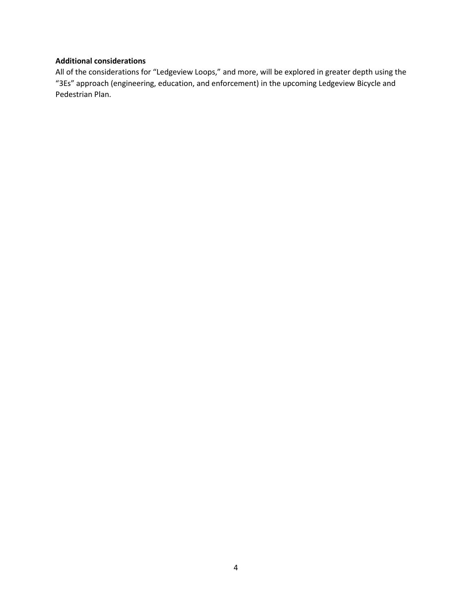#### **Additional considerations**

All of the considerations for "Ledgeview Loops," and more, will be explored in greater depth using the "3Es" approach (engineering, education, and enforcement) in the upcoming Ledgeview Bicycle and Pedestrian Plan.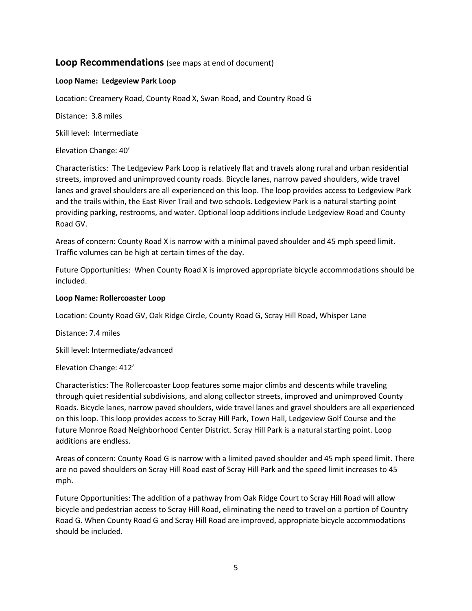# **Loop Recommendations** (see maps at end of document)

#### **Loop Name: Ledgeview Park Loop**

Location: Creamery Road, County Road X, Swan Road, and Country Road G

Distance: 3.8 miles

Skill level: Intermediate

Elevation Change: 40'

Characteristics: The Ledgeview Park Loop is relatively flat and travels along rural and urban residential streets, improved and unimproved county roads. Bicycle lanes, narrow paved shoulders, wide travel lanes and gravel shoulders are all experienced on this loop. The loop provides access to Ledgeview Park and the trails within, the East River Trail and two schools. Ledgeview Park is a natural starting point providing parking, restrooms, and water. Optional loop additions include Ledgeview Road and County Road GV.

Areas of concern: County Road X is narrow with a minimal paved shoulder and 45 mph speed limit. Traffic volumes can be high at certain times of the day.

Future Opportunities: When County Road X is improved appropriate bicycle accommodations should be included.

#### **Loop Name: Rollercoaster Loop**

Location: County Road GV, Oak Ridge Circle, County Road G, Scray Hill Road, Whisper Lane

Distance: 7.4 miles

Skill level: Intermediate/advanced

Elevation Change: 412'

Characteristics: The Rollercoaster Loop features some major climbs and descents while traveling through quiet residential subdivisions, and along collector streets, improved and unimproved County Roads. Bicycle lanes, narrow paved shoulders, wide travel lanes and gravel shoulders are all experienced on this loop. This loop provides access to Scray Hill Park, Town Hall, Ledgeview Golf Course and the future Monroe Road Neighborhood Center District. Scray Hill Park is a natural starting point. Loop additions are endless.

Areas of concern: County Road G is narrow with a limited paved shoulder and 45 mph speed limit. There are no paved shoulders on Scray Hill Road east of Scray Hill Park and the speed limit increases to 45 mph.

Future Opportunities: The addition of a pathway from Oak Ridge Court to Scray Hill Road will allow bicycle and pedestrian access to Scray Hill Road, eliminating the need to travel on a portion of Country Road G. When County Road G and Scray Hill Road are improved, appropriate bicycle accommodations should be included.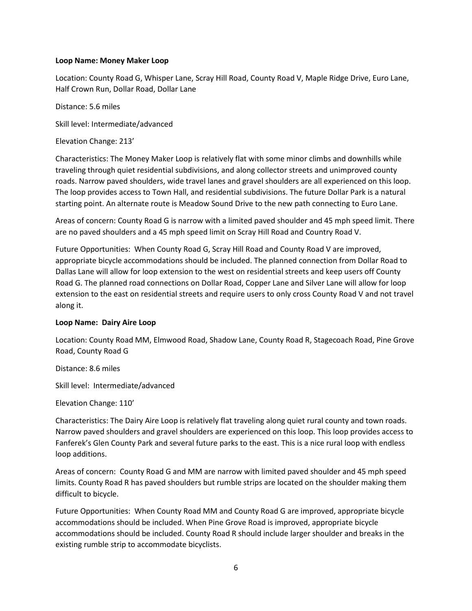#### **Loop Name: Money Maker Loop**

Location: County Road G, Whisper Lane, Scray Hill Road, County Road V, Maple Ridge Drive, Euro Lane, Half Crown Run, Dollar Road, Dollar Lane

Distance: 5.6 miles

Skill level: Intermediate/advanced

Elevation Change: 213'

Characteristics: The Money Maker Loop is relatively flat with some minor climbs and downhills while traveling through quiet residential subdivisions, and along collector streets and unimproved county roads. Narrow paved shoulders, wide travel lanes and gravel shoulders are all experienced on this loop. The loop provides access to Town Hall, and residential subdivisions. The future Dollar Park is a natural starting point. An alternate route is Meadow Sound Drive to the new path connecting to Euro Lane.

Areas of concern: County Road G is narrow with a limited paved shoulder and 45 mph speed limit. There are no paved shoulders and a 45 mph speed limit on Scray Hill Road and Country Road V.

Future Opportunities: When County Road G, Scray Hill Road and County Road V are improved, appropriate bicycle accommodations should be included. The planned connection from Dollar Road to Dallas Lane will allow for loop extension to the west on residential streets and keep users off County Road G. The planned road connections on Dollar Road, Copper Lane and Silver Lane will allow for loop extension to the east on residential streets and require users to only cross County Road V and not travel along it.

#### **Loop Name: Dairy Aire Loop**

Location: County Road MM, Elmwood Road, Shadow Lane, County Road R, Stagecoach Road, Pine Grove Road, County Road G

Distance: 8.6 miles

Skill level: Intermediate/advanced

Elevation Change: 110'

Characteristics: The Dairy Aire Loop is relatively flat traveling along quiet rural county and town roads. Narrow paved shoulders and gravel shoulders are experienced on this loop. This loop provides access to Fanferek's Glen County Park and several future parks to the east. This is a nice rural loop with endless loop additions.

Areas of concern: County Road G and MM are narrow with limited paved shoulder and 45 mph speed limits. County Road R has paved shoulders but rumble strips are located on the shoulder making them difficult to bicycle.

Future Opportunities: When County Road MM and County Road G are improved, appropriate bicycle accommodations should be included. When Pine Grove Road is improved, appropriate bicycle accommodations should be included. County Road R should include larger shoulder and breaks in the existing rumble strip to accommodate bicyclists.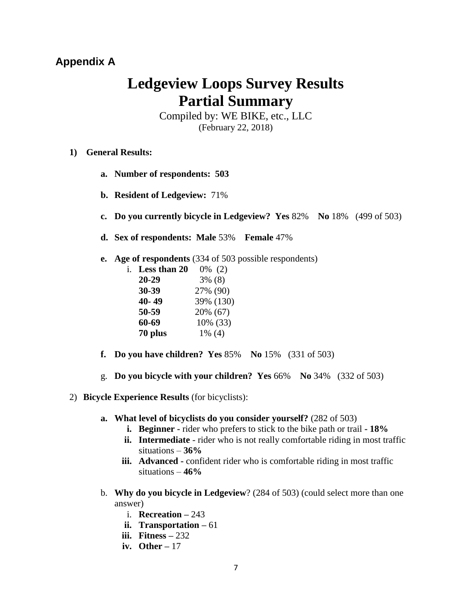# **Appendix A**

# **Ledgeview Loops Survey Results Partial Summary**

Compiled by: WE BIKE, etc., LLC (February 22, 2018)

- **1) General Results:** 
	- **a. Number of respondents: 503**
	- **b. Resident of Ledgeview:** 71%
	- **c. Do you currently bicycle in Ledgeview? Yes** 82% **No** 18% (499 of 503)
	- **d. Sex of respondents: Male** 53% **Female** 47%
	- **e. Age of respondents** (334 of 503 possible respondents)

| Less than 20<br>i. | $0\%$ (2) |           |
|--------------------|-----------|-----------|
| $20 - 29$          | $3\%$ (8) |           |
| 30-39              | 27% (90)  |           |
| 40-49              |           | 39% (130) |
| 50-59              | 20% (67)  |           |
| 60-69              |           | 10% (33)  |
| 70 plus            | $1\%$ (4) |           |

- **f. Do you have children? Yes** 85% **No** 15%(331 of 503)
- g. **Do you bicycle with your children? Yes** 66% **No** 34% (332 of 503)
- 2) **Bicycle Experience Results** (for bicyclists):
	- **a. What level of bicyclists do you consider yourself?** (282 of 503)
		- **i. Beginner -** rider who prefers to stick to the bike path or trail **- 18%**
		- **ii.** Intermediate rider who is not really comfortable riding in most traffic situations – **36%**
		- **iii. Advanced -** confident rider who is comfortable riding in most traffic situations – **46%**
	- b. **Why do you bicycle in Ledgeview**? (284 of 503) (could select more than one answer)
		- i. **Recreation –** 243
		- **ii. Transportation –** 61
		- **iii. Fitness –** 232
		- **iv. Other –** 17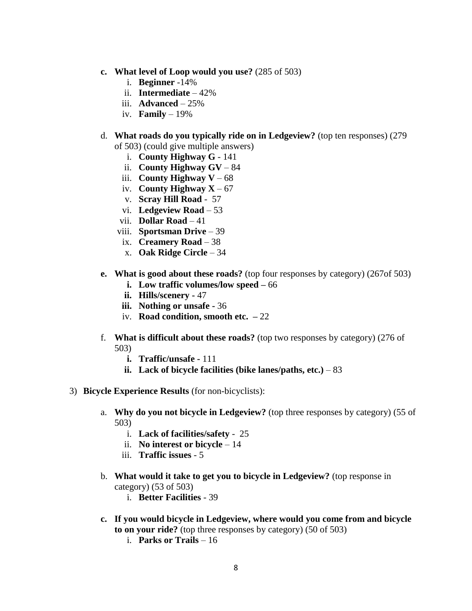- **c. What level of Loop would you use?** (285 of 503)
	- i. **Beginner** -14%
	- ii. **Intermediate**  42%
	- iii. **Advanced** 25%
	- iv. **Family** 19%
- d. **What roads do you typically ride on in Ledgeview?** (top ten responses) (279

of 503) (could give multiple answers)

- i. **County Highway G** 141
- ii. **County Highway GV** 84
- iii. **County Highway V** 68
- iv. **County Highway X** 67
- v. **Scray Hill Road** 57
- vi. **Ledgeview Road** 53
- vii. **Dollar Road** 41
- viii. **Sportsman Drive** 39
- ix. **Creamery Road** 38
- x. **Oak Ridge Circle** 34
- **e. What is good about these roads?** (top four responses by category) (267of 503)
	- **i. Low traffic volumes/low speed –** 66
	- **ii. Hills/scenery -** 47
	- **iii. Nothing or unsafe -** 36
	- iv. **Road condition, smooth etc. –** 22
- f. **What is difficult about these roads?** (top two responses by category) (276 of 503)
	- **i. Traffic/unsafe -** 111
	- ii. Lack of bicycle facilities (bike lanes/paths,  $etc.$ )  $-83$
- 3) **Bicycle Experience Results** (for non-bicyclists):
	- a. **Why do you not bicycle in Ledgeview?** (top three responses by category) (55 of 503)
		- i. **Lack of facilities/safety** 25
		- ii. **No interest or bicycle** 14
		- iii. **Traffic issues** 5
	- b. **What would it take to get you to bicycle in Ledgeview?** (top response in category) (53 of 503)
		- i. **Better Facilities** 39
	- **c. If you would bicycle in Ledgeview, where would you come from and bicycle to on your ride?** (top three responses by category) (50 of 503)
		- i. **Parks or Trails** 16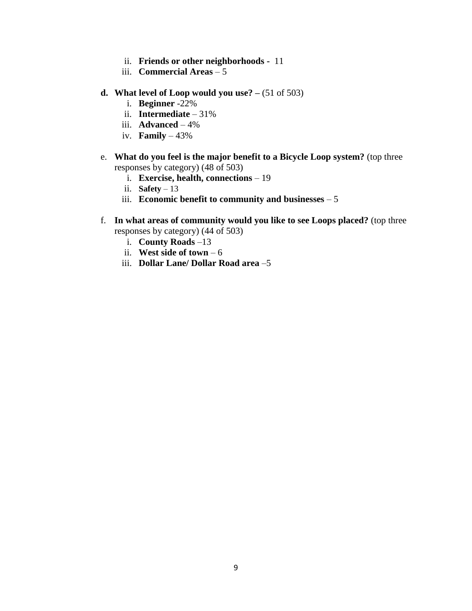- ii. **Friends or other neighborhoods -** 11
- iii. **Commercial Areas** 5
- **d. What level of Loop would you use? –** (51 of 503)
	- i. **Beginner** -22%
	- ii. **Intermediate** 31%
	- iii. **Advanced** 4%
	- iv. **Family**  43%
- e. **What do you feel is the major benefit to a Bicycle Loop system?** (top three responses by category) (48 of 503)
	- i. **Exercise, health, connections** 19
	- ii. **Safety**  13
	- iii. **Economic benefit to community and businesses** 5
- f. **In what areas of community would you like to see Loops placed?** (top three responses by category) (44 of 503)
	- i. **County Roads** –13
	- ii. **West side of town** 6
	- iii. **Dollar Lane/ Dollar Road area** –5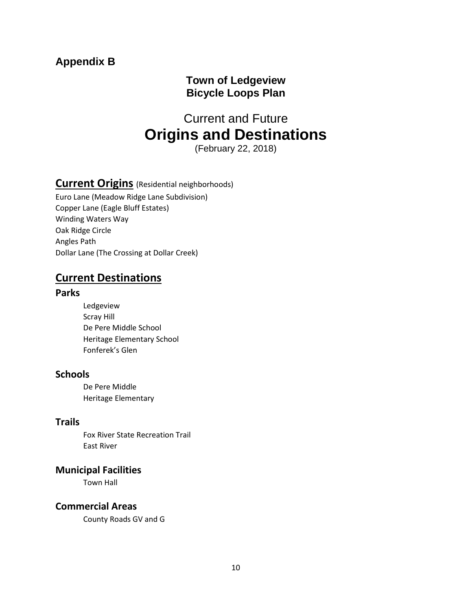# **Appendix B**

# **Town of Ledgeview Bicycle Loops Plan**

# Current and Future **Origins and Destinations**

(February 22, 2018)

# **Current Origins** (Residential neighborhoods)

Euro Lane (Meadow Ridge Lane Subdivision) Copper Lane (Eagle Bluff Estates) Winding Waters Way Oak Ridge Circle Angles Path Dollar Lane (The Crossing at Dollar Creek)

# **Current Destinations**

### **Parks**

Ledgeview Scray Hill De Pere Middle School Heritage Elementary School Fonferek's Glen

# **Schools**

De Pere Middle Heritage Elementary

# **Trails**

Fox River State Recreation Trail East River

# **Municipal Facilities**

Town Hall

# **Commercial Areas**

County Roads GV and G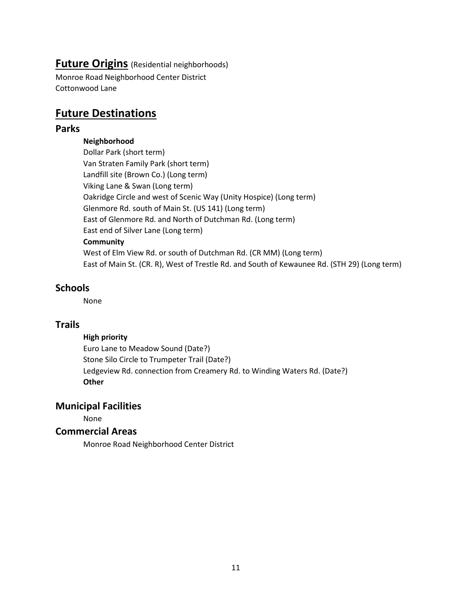# **Future Origins** (Residential neighborhoods)

Monroe Road Neighborhood Center District Cottonwood Lane

# **Future Destinations**

### **Parks**

#### **Neighborhood**

Dollar Park (short term) Van Straten Family Park (short term) Landfill site (Brown Co.) (Long term) Viking Lane & Swan (Long term) Oakridge Circle and west of Scenic Way (Unity Hospice) (Long term) Glenmore Rd. south of Main St. (US 141) (Long term) East of Glenmore Rd. and North of Dutchman Rd. (Long term) East end of Silver Lane (Long term) **Community**  West of Elm View Rd. or south of Dutchman Rd. (CR MM) (Long term) East of Main St. (CR. R), West of Trestle Rd. and South of Kewaunee Rd. (STH 29) (Long term)

# **Schools**

None

## **Trails**

#### **High priority**

Euro Lane to Meadow Sound (Date?) Stone Silo Circle to Trumpeter Trail (Date?) Ledgeview Rd. connection from Creamery Rd. to Winding Waters Rd. (Date?) **Other**

# **Municipal Facilities**

None

## **Commercial Areas**

Monroe Road Neighborhood Center District